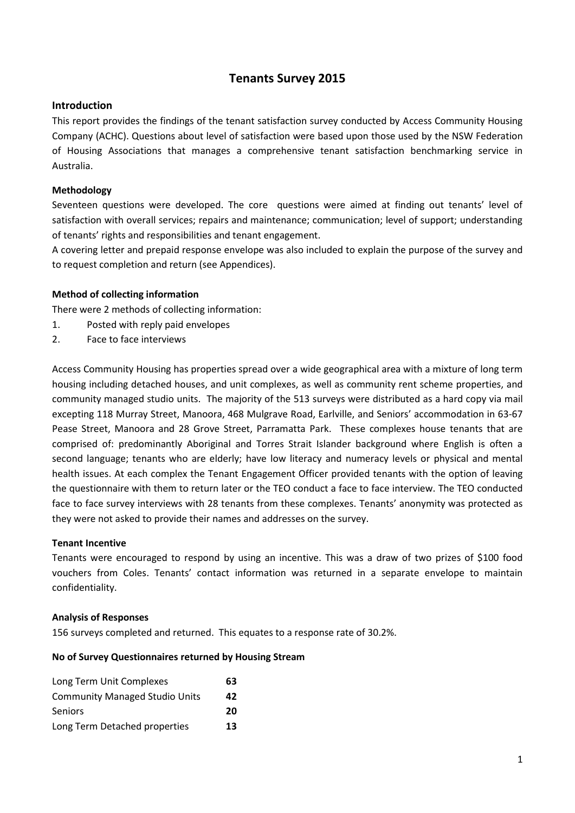# **Tenants Survey 2015**

#### **Introduction**

This report provides the findings of the tenant satisfaction survey conducted by Access Community Housing Company (ACHC). Questions about level of satisfaction were based upon those used by the NSW Federation of Housing Associations that manages a comprehensive tenant satisfaction benchmarking service in Australia.

#### **Methodology**

Seventeen questions were developed. The core questions were aimed at finding out tenants' level of satisfaction with overall services; repairs and maintenance; communication; level of support; understanding of tenants' rights and responsibilities and tenant engagement.

A covering letter and prepaid response envelope was also included to explain the purpose of the survey and to request completion and return (see Appendices).

#### **Method of collecting information**

There were 2 methods of collecting information:

- 1. Posted with reply paid envelopes
- 2. Face to face interviews

Access Community Housing has properties spread over a wide geographical area with a mixture of long term housing including detached houses, and unit complexes, as well as community rent scheme properties, and community managed studio units. The majority of the 513 surveys were distributed as a hard copy via mail excepting 118 Murray Street, Manoora, 468 Mulgrave Road, Earlville, and Seniors' accommodation in 63-67 Pease Street, Manoora and 28 Grove Street, Parramatta Park. These complexes house tenants that are comprised of: predominantly Aboriginal and Torres Strait Islander background where English is often a second language; tenants who are elderly; have low literacy and numeracy levels or physical and mental health issues. At each complex the Tenant Engagement Officer provided tenants with the option of leaving the questionnaire with them to return later or the TEO conduct a face to face interview. The TEO conducted face to face survey interviews with 28 tenants from these complexes. Tenants' anonymity was protected as they were not asked to provide their names and addresses on the survey.

#### **Tenant Incentive**

Tenants were encouraged to respond by using an incentive. This was a draw of two prizes of \$100 food vouchers from Coles. Tenants' contact information was returned in a separate envelope to maintain confidentiality.

#### **Analysis of Responses**

156 surveys completed and returned. This equates to a response rate of 30.2%.

#### **No of Survey Questionnaires returned by Housing Stream**

| Long Term Unit Complexes              | 63 |
|---------------------------------------|----|
| <b>Community Managed Studio Units</b> | 42 |
| <b>Seniors</b>                        | 20 |
| Long Term Detached properties         | 13 |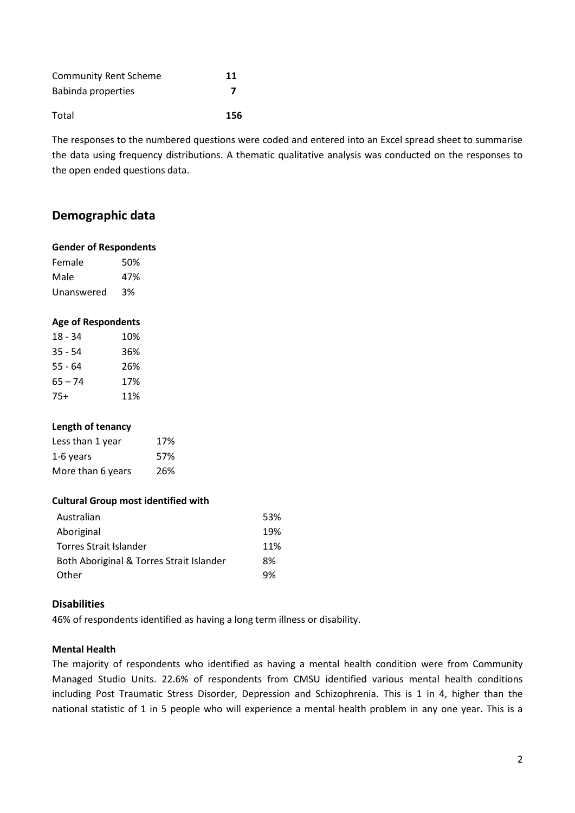| <b>Community Rent Scheme</b> | 11  |
|------------------------------|-----|
| Babinda properties           |     |
| Total                        | 156 |

The responses to the numbered questions were coded and entered into an Excel spread sheet to summarise the data using frequency distributions. A thematic qualitative analysis was conducted on the responses to the open ended questions data.

# **Demographic data**

#### **Gender of Respondents**

Female 50% Male 47% Unanswered 3%

#### **Age of Respondents**

| $18 - 34$ | 10% |
|-----------|-----|
| $35 - 54$ | 36% |
| 55 - 64   | 26% |
| $65 - 74$ | 17% |
| 75+       | 11% |

### **Length of tenancy**

| Less than 1 year  | 17% |
|-------------------|-----|
| 1-6 years         | 57% |
| More than 6 years | 26% |

#### **Cultural Group most identified with**

| Australian                               | 53% |
|------------------------------------------|-----|
| Aboriginal                               | 19% |
| Torres Strait Islander                   | 11% |
| Both Aboriginal & Torres Strait Islander | 8%  |
| Other                                    | 9%  |

### **Disabilities**

46% of respondents identified as having a long term illness or disability.

#### **Mental Health**

The majority of respondents who identified as having a mental health condition were from Community Managed Studio Units. 22.6% of respondents from CMSU identified various mental health conditions including Post Traumatic Stress Disorder, Depression and Schizophrenia. This is 1 in 4, higher than the national statistic of 1 in 5 people who will experience a mental health problem in any one year. This is a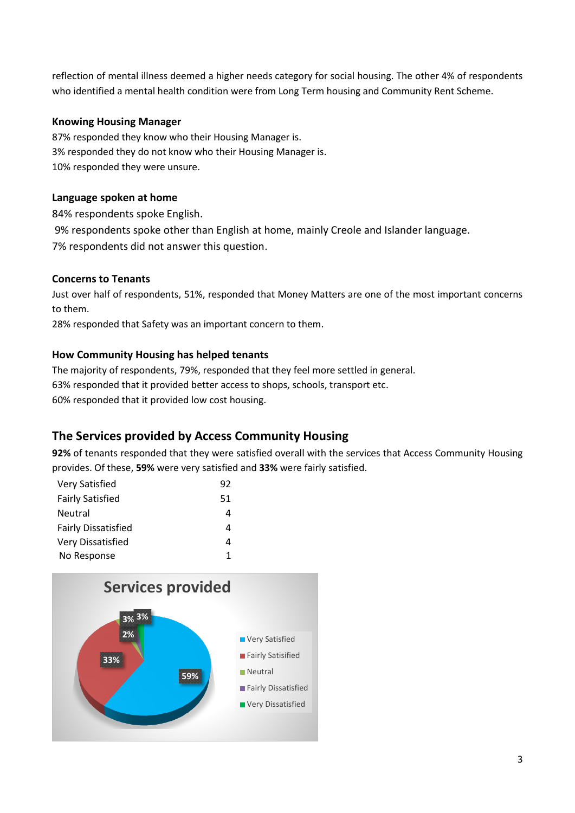reflection of mental illness deemed a higher needs category for social housing. The other 4% of respondents who identified a mental health condition were from Long Term housing and Community Rent Scheme.

## **Knowing Housing Manager**

87% responded they know who their Housing Manager is. 3% responded they do not know who their Housing Manager is. 10% responded they were unsure.

## **Language spoken at home**

84% respondents spoke English.

9% respondents spoke other than English at home, mainly Creole and Islander language.

7% respondents did not answer this question.

## **Concerns to Tenants**

Just over half of respondents, 51%, responded that Money Matters are one of the most important concerns to them.

28% responded that Safety was an important concern to them.

## **How Community Housing has helped tenants**

The majority of respondents, 79%, responded that they feel more settled in general. 63% responded that it provided better access to shops, schools, transport etc.

60% responded that it provided low cost housing.

# **The Services provided by Access Community Housing**

**92%** of tenants responded that they were satisfied overall with the services that Access Community Housing provides. Of these, **59%** were very satisfied and **33%** were fairly satisfied.

| Very Satisfied             | 92 |
|----------------------------|----|
| <b>Fairly Satisfied</b>    | 51 |
| Neutral                    | 4  |
| <b>Fairly Dissatisfied</b> | 4  |
| Very Dissatisfied          | 4  |
| No Response                | 1  |

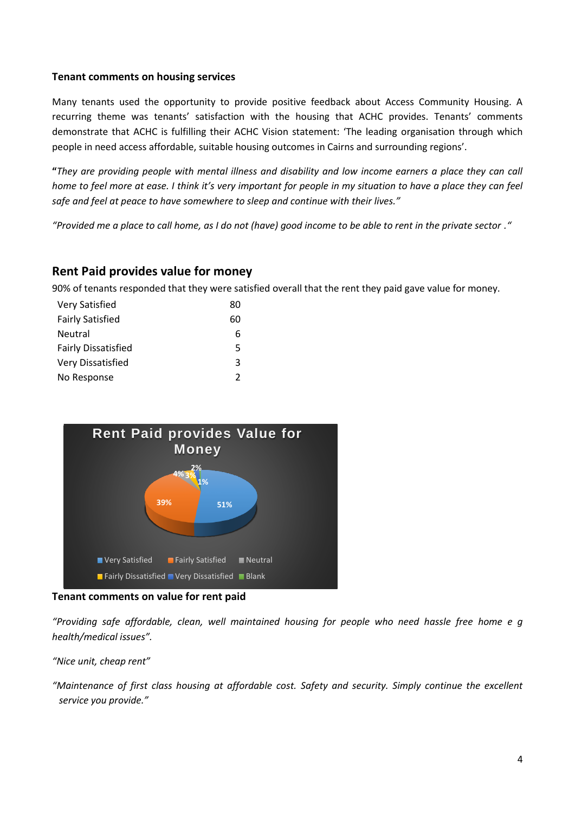### **Tenant comments on housing services**

Many tenants used the opportunity to provide positive feedback about Access Community Housing. A recurring theme was tenants' satisfaction with the housing that ACHC provides. Tenants' comments demonstrate that ACHC is fulfilling their ACHC Vision statement: 'The leading organisation through which people in need access affordable, suitable housing outcomes in Cairns and surrounding regions'.

**"***They are providing people with mental illness and disability and low income earners a place they can call home to feel more at ease. I think it's very important for people in my situation to have a place they can feel safe and feel at peace to have somewhere to sleep and continue with their lives."*

*"Provided me a place to call home, as I do not (have) good income to be able to rent in the private sector ."*

## **Rent Paid provides value for money**

90% of tenants responded that they were satisfied overall that the rent they paid gave value for money.

| Very Satisfied             | 80            |
|----------------------------|---------------|
| <b>Fairly Satisfied</b>    | 60            |
| <b>Neutral</b>             | 6             |
| <b>Fairly Dissatisfied</b> | 5             |
| Very Dissatisfied          | ર             |
| No Response                | $\mathcal{P}$ |



**Tenant comments on value for rent paid**

*"Providing safe affordable, clean, well maintained housing for people who need hassle free home e g health/medical issues".*

*"Nice unit, cheap rent"*

*"Maintenance of first class housing at affordable cost. Safety and security. Simply continue the excellent service you provide."*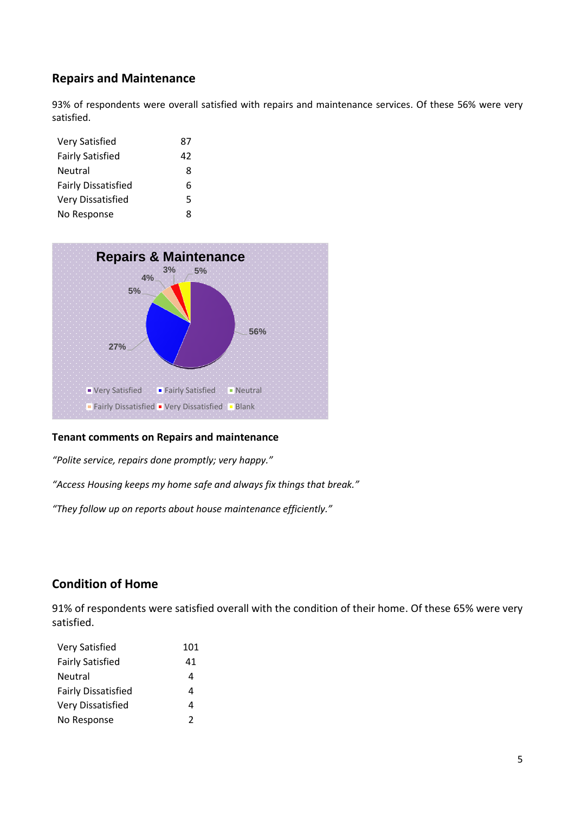# **Repairs and Maintenance**

93% of respondents were overall satisfied with repairs and maintenance services. Of these 56% were very satisfied.

| <b>Very Satisfied</b>      | 87 |
|----------------------------|----|
| <b>Fairly Satisfied</b>    | 42 |
| <b>Neutral</b>             | 8  |
| <b>Fairly Dissatisfied</b> | 6  |
| Very Dissatisfied          | 5  |
| No Response                | ጸ  |



### **Tenant comments on Repairs and maintenance**

*"Polite service, repairs done promptly; very happy."*

*"Access Housing keeps my home safe and always fix things that break."*

*"They follow up on reports about house maintenance efficiently."*

# **Condition of Home**

91% of respondents were satisfied overall with the condition of their home. Of these 65% were very satisfied.

| <b>Very Satisfied</b>      | 101 |
|----------------------------|-----|
| <b>Fairly Satisfied</b>    | 41  |
| Neutral                    | 4   |
| <b>Fairly Dissatisfied</b> | Δ   |
| Very Dissatisfied          | Δ   |
| No Response                | 2   |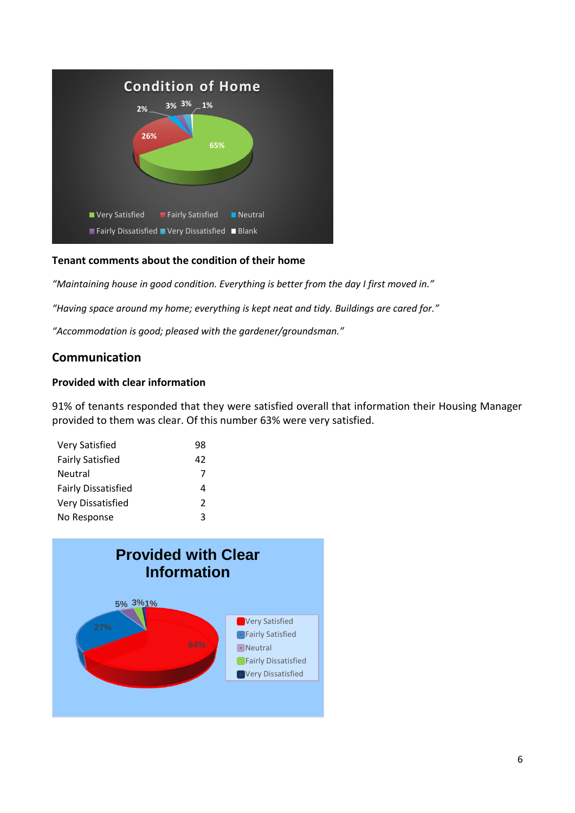

## **Tenant comments about the condition of their home**

*"Maintaining house in good condition. Everything is better from the day I first moved in."*

*"Having space around my home; everything is kept neat and tidy. Buildings are cared for."*

*"Accommodation is good; pleased with the gardener/groundsman."*

# **Communication**

### **Provided with clear information**

91% of tenants responded that they were satisfied overall that information their Housing Manager provided to them was clear. Of this number 63% were very satisfied.

| <b>Very Satisfied</b>      | 98            |
|----------------------------|---------------|
| <b>Fairly Satisfied</b>    | 42            |
| Neutral                    | 7             |
| <b>Fairly Dissatisfied</b> | 4             |
| Very Dissatisfied          | $\mathcal{P}$ |
| No Response                | ર             |

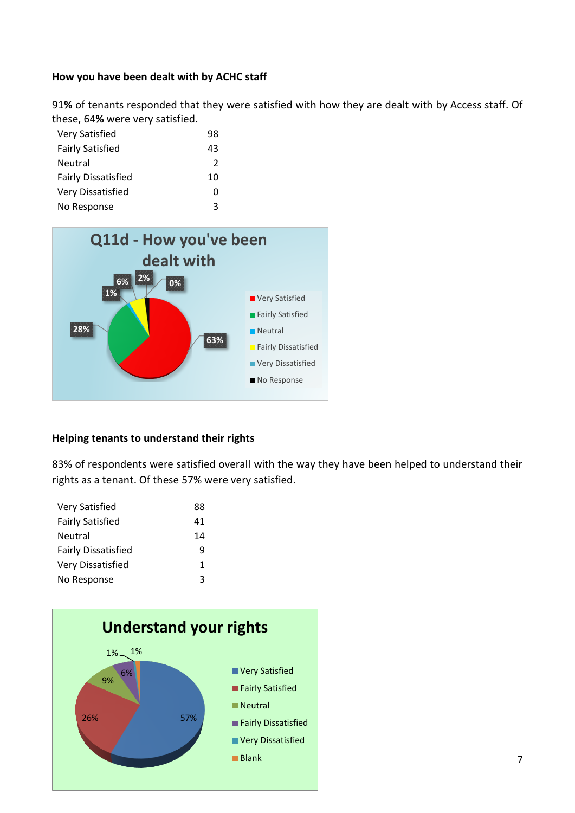## **How you have been dealt with by ACHC staff**

91**%** of tenants responded that they were satisfied with how they are dealt with by Access staff. Of these, 64**%** were very satisfied.

| <b>Very Satisfied</b>      | 98            |
|----------------------------|---------------|
| <b>Fairly Satisfied</b>    | 43            |
| <b>Neutral</b>             | $\mathcal{P}$ |
| <b>Fairly Dissatisfied</b> | 10            |
| Very Dissatisfied          | Ω             |
| No Response                | ર             |



#### **Helping tenants to understand their rights**

83% of respondents were satisfied overall with the way they have been helped to understand their rights as a tenant. Of these 57% were very satisfied.

| <b>Very Satisfied</b>      | 88 |
|----------------------------|----|
| <b>Fairly Satisfied</b>    | 41 |
| Neutral                    | 14 |
| <b>Fairly Dissatisfied</b> | q  |
| Very Dissatisfied          | 1  |
| No Response                | ર  |

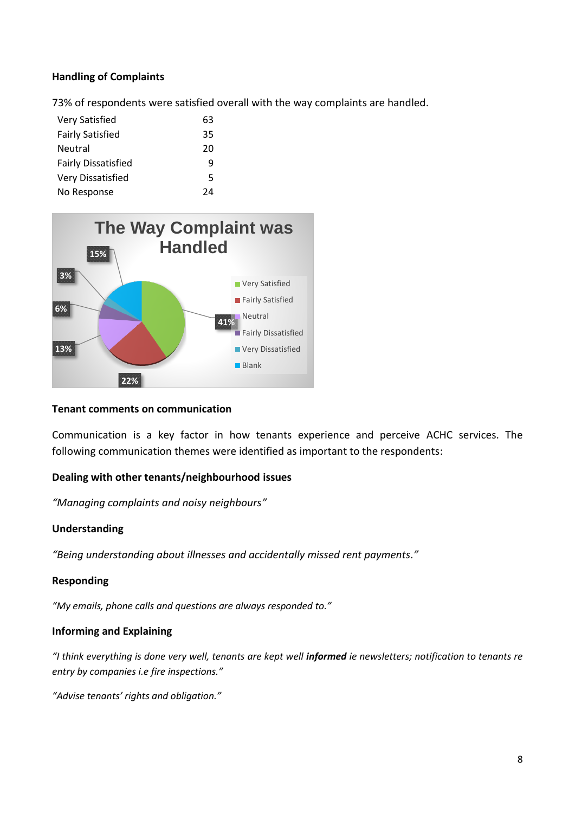## **Handling of Complaints**

73% of respondents were satisfied overall with the way complaints are handled.

| <b>Very Satisfied</b>      | 63 |
|----------------------------|----|
| <b>Fairly Satisfied</b>    | 35 |
| <b>Neutral</b>             | 20 |
| <b>Fairly Dissatisfied</b> | q  |
| Very Dissatisfied          | 5  |
| No Response                | 7Δ |



### **Tenant comments on communication**

Communication is a key factor in how tenants experience and perceive ACHC services. The following communication themes were identified as important to the respondents:

### **Dealing with other tenants/neighbourhood issues**

*"Managing complaints and noisy neighbours"*

#### **Understanding**

*"Being understanding about illnesses and accidentally missed rent payments."*

### **Responding**

*"My emails, phone calls and questions are always responded to."*

#### **Informing and Explaining**

*"I think everything is done very well, tenants are kept well informed ie newsletters; notification to tenants re entry by companies i.e fire inspections."*

*"Advise tenants' rights and obligation."*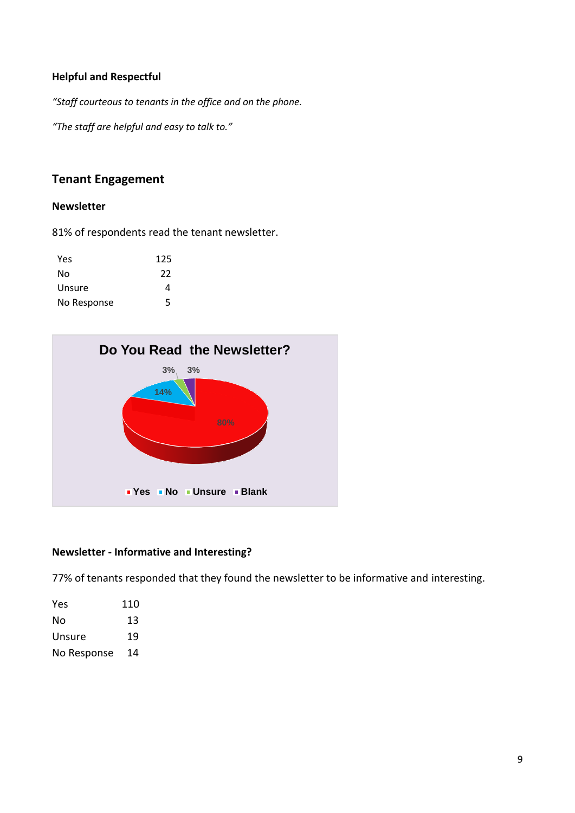## **Helpful and Respectful**

*"Staff courteous to tenants in the office and on the phone.*

*"The staff are helpful and easy to talk to."*

## **Tenant Engagement**

#### **Newsletter**

81% of respondents read the tenant newsletter.

| Yes         | 125 |
|-------------|-----|
| No          | 22  |
| Unsure      | Δ   |
| No Response | 5   |



### **Newsletter - Informative and Interesting?**

77% of tenants responded that they found the newsletter to be informative and interesting.

| Yes         | 110 |
|-------------|-----|
| No          | 13  |
| Unsure      | 19  |
| No Response | 14  |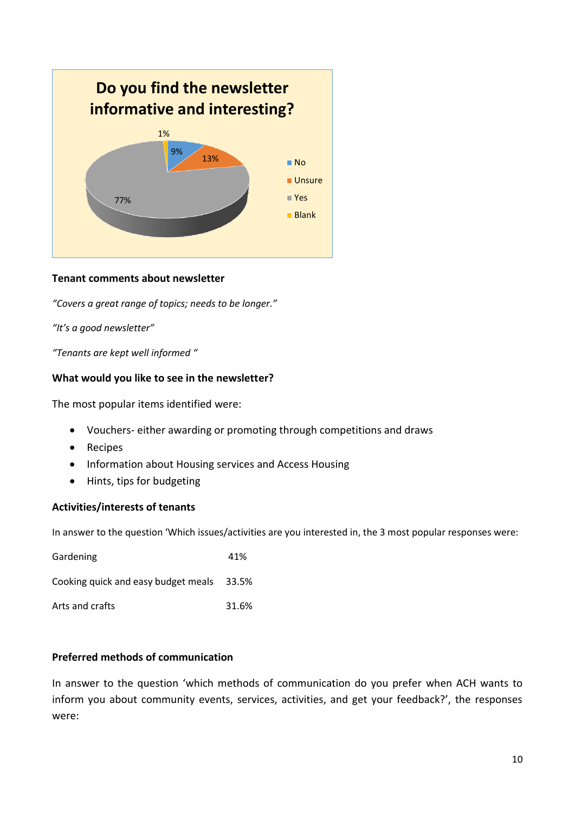

## **Tenant comments about newsletter**

*"Covers a great range of topics; needs to be longer."*

*"It's a good newsletter"*

*"Tenants are kept well informed "*

### **What would you like to see in the newsletter?**

The most popular items identified were:

- Vouchers- either awarding or promoting through competitions and draws
- Recipes
- Information about Housing services and Access Housing
- Hints, tips for budgeting

### **Activities/interests of tenants**

In answer to the question 'Which issues/activities are you interested in, the 3 most popular responses were:

| Gardening                                 | 41%   |
|-------------------------------------------|-------|
| Cooking quick and easy budget meals 33.5% |       |
| Arts and crafts                           | 31.6% |

### **Preferred methods of communication**

In answer to the question 'which methods of communication do you prefer when ACH wants to inform you about community events, services, activities, and get your feedback?', the responses were: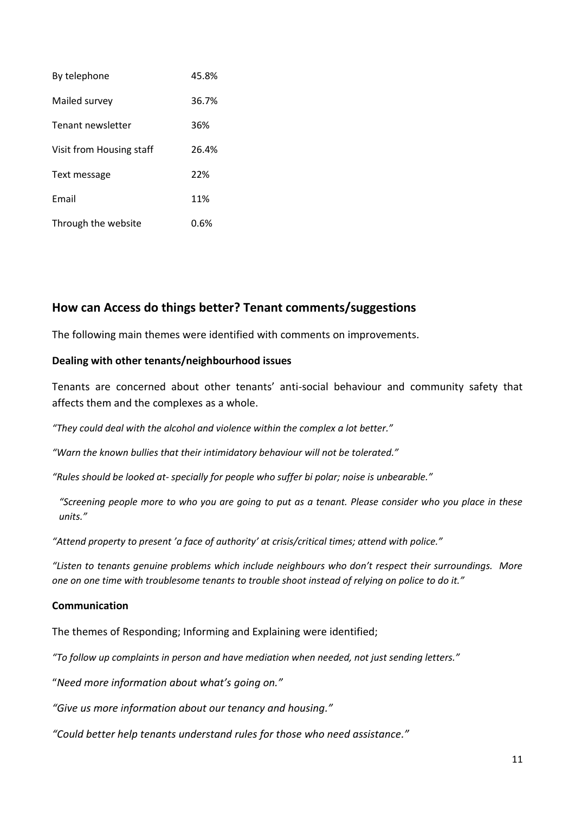| By telephone             | 45.8% |
|--------------------------|-------|
| Mailed survey            | 36.7% |
| Tenant newsletter        | 36%   |
| Visit from Housing staff | 26.4% |
| Text message             | 22%   |
| Email                    | 11%   |
| Through the website      | 0.6%  |

# **How can Access do things better? Tenant comments/suggestions**

The following main themes were identified with comments on improvements.

## **Dealing with other tenants/neighbourhood issues**

Tenants are concerned about other tenants' anti-social behaviour and community safety that affects them and the complexes as a whole.

*"They could deal with the alcohol and violence within the complex a lot better."*

*"Warn the known bullies that their intimidatory behaviour will not be tolerated."*

*"Rules should be looked at- specially for people who suffer bi polar; noise is unbearable."*

*"Screening people more to who you are going to put as a tenant. Please consider who you place in these units."*

*"Attend property to present 'a face of authority' at crisis/critical times; attend with police."*

*"Listen to tenants genuine problems which include neighbours who don't respect their surroundings. More one on one time with troublesome tenants to trouble shoot instead of relying on police to do it."*

## **Communication**

The themes of Responding; Informing and Explaining were identified;

*"To follow up complaints in person and have mediation when needed, not just sending letters."*

"*Need more information about what's going on."*

*"Give us more information about our tenancy and housing."*

*"Could better help tenants understand rules for those who need assistance."*